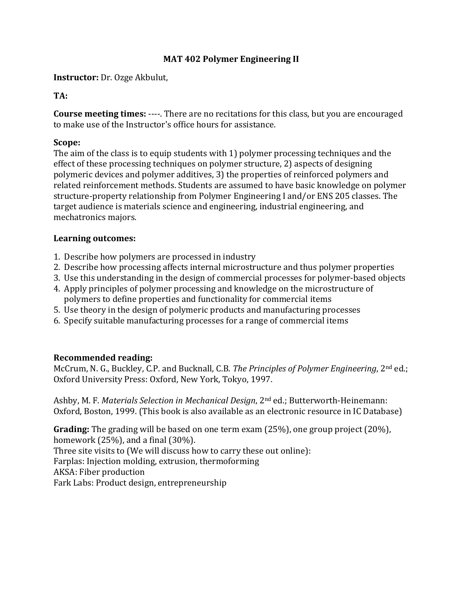#### **MAT 402 Polymer Engineering II**

**Instructor:** Dr. Ozge Akbulut,

#### **TA:**

**Course meeting times:** ----. There are no recitations for this class, but you are encouraged to make use of the Instructor's office hours for assistance.

#### **Scope:**

The aim of the class is to equip students with 1) polymer processing techniques and the effect of these processing techniques on polymer structure, 2) aspects of designing polymeric devices and polymer additives, 3) the properties of reinforced polymers and related reinforcement methods. Students are assumed to have basic knowledge on polymer structure-property relationship from Polymer Engineering I and/or ENS 205 classes. The target audience is materials science and engineering, industrial engineering, and mechatronics majors.

#### **Learning outcomes:**

- 1. Describe how polymers are processed in industry
- 2. Describe how processing affects internal microstructure and thus polymer properties
- 3. Use this understanding in the design of commercial processes for polymer-based objects
- 4. Apply principles of polymer processing and knowledge on the microstructure of polymers to define properties and functionality for commercial items
- 5. Use theory in the design of polymeric products and manufacturing processes
- 6. Specify suitable manufacturing processes for a range of commercial items

#### **Recommended reading:**

McCrum, N. G., Buckley, C.P. and Bucknall, C.B. *The Principles of Polymer Engineering*, 2nd ed.; Oxford University Press: Oxford, New York, Tokyo, 1997.

Ashby, M. F. *Materials Selection in Mechanical Design*, 2nd ed.; Butterworth-Heinemann: Oxford, Boston, 1999. (This book is also available as an electronic resource in IC Database)

**Grading:** The grading will be based on one term exam (25%), one group project (20%), homework (25%), and a final (30%). Three site visits to (We will discuss how to carry these out online): Farplas: Injection molding, extrusion, thermoforming AKSA: Fiber production Fark Labs: Product design, entrepreneurship